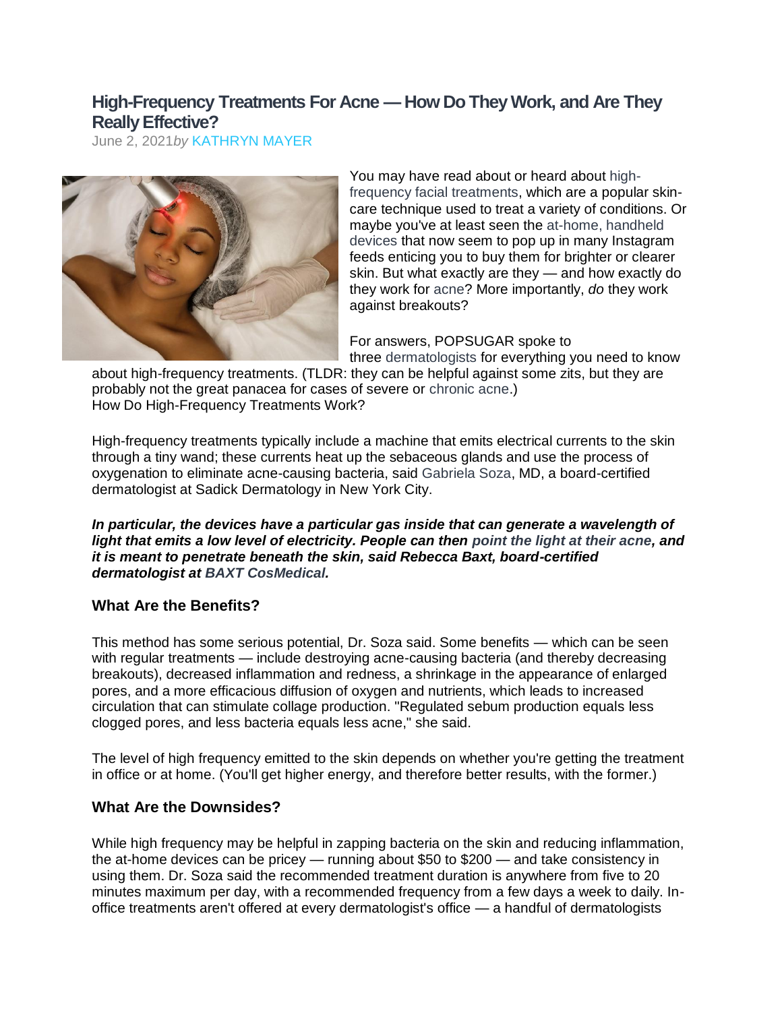# **High-Frequency Treatments For Acne — How Do They Work, and Are They Really Effective?**

June 2, 2021*by* [KATHRYN MAYER](https://www.popsugar.com/author/kathrynmayer)



You may have read about or heard about [high](https://www.popsugar.com/beauty/laser-treatment-acne-marks-48259473)[frequency facial treatments,](https://www.popsugar.com/beauty/laser-treatment-acne-marks-48259473) which are a popular skincare technique used to treat a variety of conditions. Or maybe you've at least seen the [at-home, handheld](https://www.popsugar.com/beauty/led-light-therapy-acne-editor-experiment-47642077)  [devices](https://www.popsugar.com/beauty/led-light-therapy-acne-editor-experiment-47642077) that now seem to pop up in many Instagram feeds enticing you to buy them for brighter or clearer skin. But what exactly are they — and how exactly do they work for [acne?](https://www.popsugar.com/beauty/acne-advice-tips-treatments-47455893) More importantly, *do* they work against breakouts?

For answers, POPSUGAR spoke to three [dermatologists](https://www.popsugar.com/beauty/best-dermatologists-follow-tiktok-48185745) for everything you need to know

about high-frequency treatments. (TLDR: they can be helpful against some zits, but they are probably not the great panacea for cases of severe or [chronic acne.](https://www.popsugar.com/beauty/how-to-treat-cystic-acne-48347188)) How Do High-Frequency Treatments Work?

High-frequency treatments typically include a machine that emits electrical currents to the skin through a tiny wand; these currents heat up the sebaceous glands and use the process of oxygenation to eliminate acne-causing bacteria, said [Gabriela Soza,](https://sadickdermatology.com/our-team/gabriela-soza/) MD, a board-certified dermatologist at Sadick Dermatology in New York City.

*In particular, the devices have a particular gas inside that can generate a wavelength of light that emits a low level of electricity. People can then [point the light at their acne,](https://www.popsugar.com/beauty/led-light-therapy-skin-benefits-explainer-48182592) and it is meant to penetrate beneath the skin, said Rebecca Baxt, board-certified dermatologist at [BAXT CosMedical.](http://www.cosmedical.com/)*

## **What Are the Benefits?**

This method has some serious potential, Dr. Soza said. Some benefits — which can be seen with regular treatments — include destroying acne-causing bacteria (and thereby decreasing breakouts), decreased inflammation and redness, a shrinkage in the appearance of enlarged pores, and a more efficacious diffusion of oxygen and nutrients, which leads to increased circulation that can stimulate collage production. "Regulated sebum production equals less clogged pores, and less bacteria equals less acne," she said.

The level of high frequency emitted to the skin depends on whether you're getting the treatment in office or at home. (You'll get higher energy, and therefore better results, with the former.)

## **What Are the Downsides?**

While high frequency may be helpful in zapping bacteria on the skin and reducing inflammation, the at-home devices can be pricey — running about \$50 to \$200 — and take consistency in using them. Dr. Soza said the recommended treatment duration is anywhere from five to 20 minutes maximum per day, with a recommended frequency from a few days a week to daily. Inoffice treatments aren't offered at every dermatologist's office — a handful of dermatologists